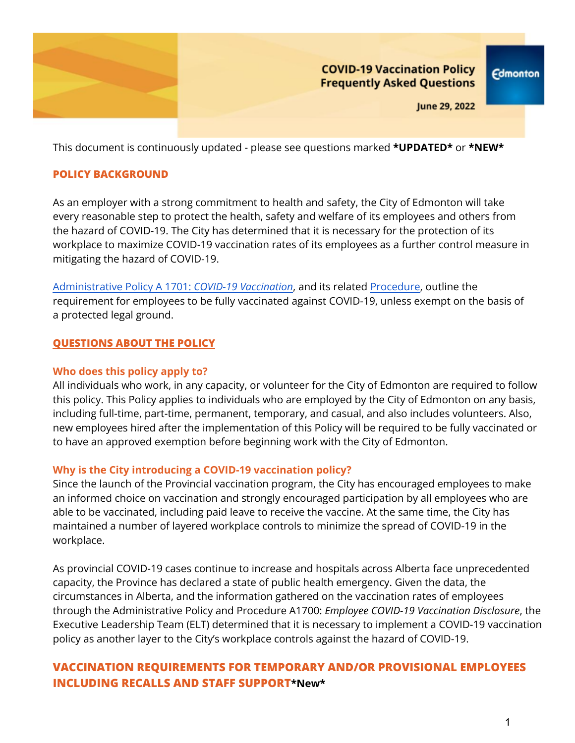

June 29, 2022

This document is continuously updated - please see questions marked **\*UPDATED\*** or **\*NEW\***

# **POLICY BACKGROUND**

As an employer with a strong commitment to health and safety, the City of Edmonton will take every reasonable step to protect the health, safety and welfare of its employees and others from the hazard of COVID-19. The City has determined that it is necessary for the protection of its workplace to maximize COVID-19 vaccination rates of its employees as a further control measure in mitigating the hazard of COVID-19.

[Administrative](https://www.edmonton.ca/sites/default/files/public-files/assets/PDF/A1701.pdf) Policy A 1701: *COVID-19 Vaccination*, and its related [Procedure,](https://www.edmonton.ca/sites/default/files/public-files/assets/PDF/A1701_COVID-19_Vaccination_Procedure.pdf) outline the requirement for employees to be fully vaccinated against COVID-19, unless exempt on the basis of a protected legal ground.

# **QUESTIONS ABOUT THE POLICY**

## **Who does this policy apply to?**

All individuals who work, in any capacity, or volunteer for the City of Edmonton are required to follow this policy. This Policy applies to individuals who are employed by the City of Edmonton on any basis, including full-time, part-time, permanent, temporary, and casual, and also includes volunteers. Also, new employees hired after the implementation of this Policy will be required to be fully vaccinated or to have an approved exemption before beginning work with the City of Edmonton.

# **Why is the City introducing a COVID-19 vaccination policy?**

Since the launch of the Provincial vaccination program, the City has encouraged employees to make an informed choice on vaccination and strongly encouraged participation by all employees who are able to be vaccinated, including paid leave to receive the vaccine. At the same time, the City has maintained a number of layered workplace controls to minimize the spread of COVID-19 in the workplace.

As provincial COVID-19 cases continue to increase and hospitals across Alberta face unprecedented capacity, the Province has declared a state of public health emergency. Given the data, the circumstances in Alberta, and the information gathered on the vaccination rates of employees through the Administrative Policy and Procedure A1700: *Employee COVID-19 Vaccination Disclosure*, the Executive Leadership Team (ELT) determined that it is necessary to implement a COVID-19 vaccination policy as another layer to the City's workplace controls against the hazard of COVID-19.

# **VACCINATION REQUIREMENTS FOR TEMPORARY AND/OR PROVISIONAL EMPLOYEES INCLUDING RECALLS AND STAFF SUPPORT\*New\***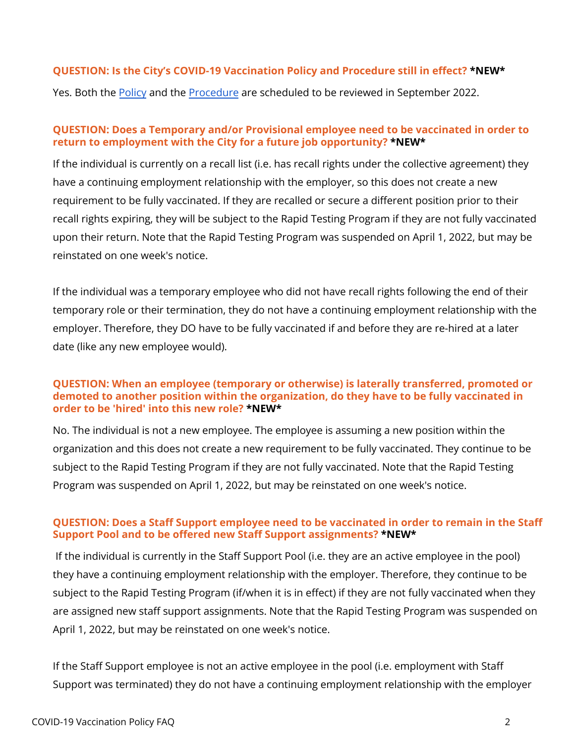### **QUESTION: Is the City's COVID-19 Vaccination Policy and Procedure still in effect? \*NEW\***

Yes. Both the [Policy](https://www.edmonton.ca/sites/default/files/public-files/assets/PDF/A1701.pdf?cb=1635440902?cb=1656016234) and the [Procedure](https://www.edmonton.ca/sites/default/files/public-files/assets/PDF/A1701_COVID-19_Vaccination_Procedure.pdf?cb=1635440902?cb=1656016234) are scheduled to be reviewed in September 2022.

### **QUESTION: Does a Temporary and/or Provisional employee need to be vaccinated in order to return to employment with the City for a future job opportunity? \*NEW\***

If the individual is currently on a recall list (i.e. has recall rights under the collective agreement) they have a continuing employment relationship with the employer, so this does not create a new requirement to be fully vaccinated. If they are recalled or secure a different position prior to their recall rights expiring, they will be subject to the Rapid Testing Program if they are not fully vaccinated upon their return. Note that the Rapid Testing Program was suspended on April 1, 2022, but may be reinstated on one week's notice.

If the individual was a temporary employee who did not have recall rights following the end of their temporary role or their termination, they do not have a continuing employment relationship with the employer. Therefore, they DO have to be fully vaccinated if and before they are re-hired at a later date (like any new employee would).

#### **QUESTION: When an employee (temporary or otherwise) is laterally transferred, promoted or demoted to another position within the organization, do they have to be fully vaccinated in order to be 'hired' into this new role? \*NEW\***

No. The individual is not a new employee. The employee is assuming a new position within the organization and this does not create a new requirement to be fully vaccinated. They continue to be subject to the Rapid Testing Program if they are not fully vaccinated. Note that the Rapid Testing Program was suspended on April 1, 2022, but may be reinstated on one week's notice.

### **QUESTION: Does a Staff Support employee need to be vaccinated in order to remain in the Staff Support Pool and to be offered new Staff Support assignments? \*NEW\***

If the individual is currently in the Staff Support Pool (i.e. they are an active employee in the pool) they have a continuing employment relationship with the employer. Therefore, they continue to be subject to the Rapid Testing Program (if/when it is in effect) if they are not fully vaccinated when they are assigned new staff support assignments. Note that the Rapid Testing Program was suspended on April 1, 2022, but may be reinstated on one week's notice.

If the Staff Support employee is not an active employee in the pool (i.e. employment with Staff Support was terminated) they do not have a continuing employment relationship with the employer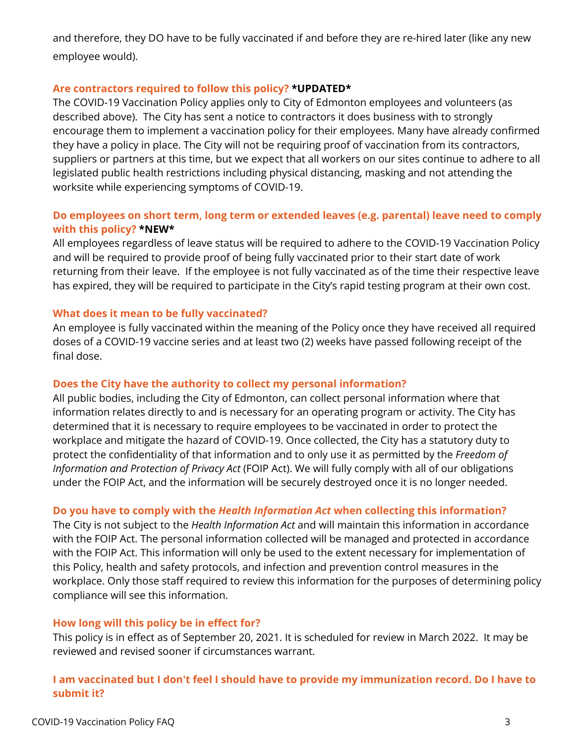and therefore, they DO have to be fully vaccinated if and before they are re-hired later (like any new employee would).

### **Are contractors required to follow this policy? \*UPDATED\***

The COVID-19 Vaccination Policy applies only to City of Edmonton employees and volunteers (as described above). The City has sent a notice to contractors it does business with to strongly encourage them to implement a vaccination policy for their employees. Many have already confirmed they have a policy in place. The City will not be requiring proof of vaccination from its contractors, suppliers or partners at this time, but we expect that all workers on our sites continue to adhere to all legislated public health restrictions including physical distancing, masking and not attending the worksite while experiencing symptoms of COVID-19.

## **Do employees on short term, long term or extended leaves (e.g. parental) leave need to comply with this policy? \*NEW\***

All employees regardless of leave status will be required to adhere to the COVID-19 Vaccination Policy and will be required to provide proof of being fully vaccinated prior to their start date of work returning from their leave. If the employee is not fully vaccinated as of the time their respective leave has expired, they will be required to participate in the City's rapid testing program at their own cost.

## **What does it mean to be fully vaccinated?**

An employee is fully vaccinated within the meaning of the Policy once they have received all required doses of a COVID-19 vaccine series and at least two (2) weeks have passed following receipt of the final dose.

### **Does the City have the authority to collect my personal information?**

All public bodies, including the City of Edmonton, can collect personal information where that information relates directly to and is necessary for an operating program or activity. The City has determined that it is necessary to require employees to be vaccinated in order to protect the workplace and mitigate the hazard of COVID-19. Once collected, the City has a statutory duty to protect the confidentiality of that information and to only use it as permitted by the *Freedom of Information and Protection of Privacy Act* (FOIP Act). We will fully comply with all of our obligations under the FOIP Act, and the information will be securely destroyed once it is no longer needed.

## **Do you have to comply with the** *Health Information Act* **when collecting this information?**

The City is not subject to the *Health Information Act* and will maintain this information in accordance with the FOIP Act. The personal information collected will be managed and protected in accordance with the FOIP Act. This information will only be used to the extent necessary for implementation of this Policy, health and safety protocols, and infection and prevention control measures in the workplace. Only those staff required to review this information for the purposes of determining policy compliance will see this information.

### **How long will this policy be in effect for?**

This policy is in effect as of September 20, 2021. It is scheduled for review in March 2022. It may be reviewed and revised sooner if circumstances warrant.

## I am vaccinated but I don't feel I should have to provide my immunization record. Do I have to **submit it?**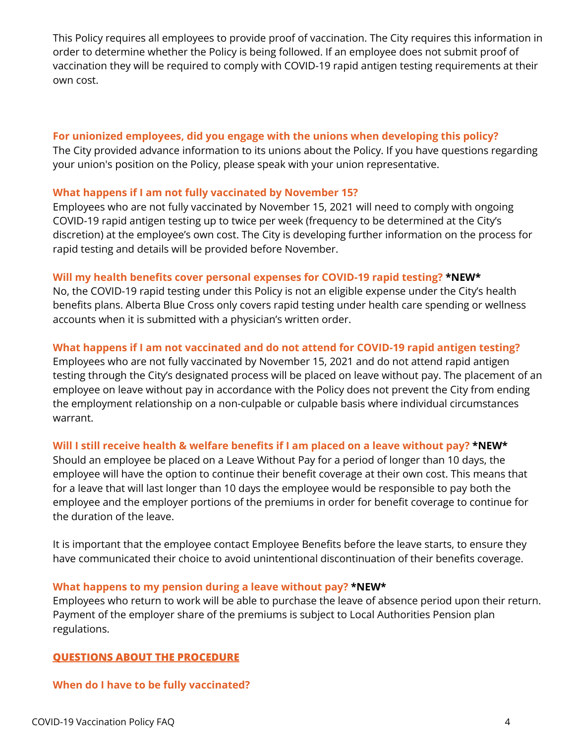This Policy requires all employees to provide proof of vaccination. The City requires this information in order to determine whether the Policy is being followed. If an employee does not submit proof of vaccination they will be required to comply with COVID-19 rapid antigen testing requirements at their own cost.

## **For unionized employees, did you engage with the unions when developing this policy?**

The City provided advance information to its unions about the Policy. If you have questions regarding your union's position on the Policy, please speak with your union representative.

### **What happens if I am not fully vaccinated by November 15?**

Employees who are not fully vaccinated by November 15, 2021 will need to comply with ongoing COVID-19 rapid antigen testing up to twice per week (frequency to be determined at the City's discretion) at the employee's own cost. The City is developing further information on the process for rapid testing and details will be provided before November.

#### **Will my health benefits cover personal expenses for COVID-19 rapid testing? \*NEW\***

No, the COVID-19 rapid testing under this Policy is not an eligible expense under the City's health benefits plans. Alberta Blue Cross only covers rapid testing under health care spending or wellness accounts when it is submitted with a physician's written order.

### **What happens if I am not vaccinated and do not attend for COVID-19 rapid antigen testing?**

Employees who are not fully vaccinated by November 15, 2021 and do not attend rapid antigen testing through the City's designated process will be placed on leave without pay. The placement of an employee on leave without pay in accordance with the Policy does not prevent the City from ending the employment relationship on a non-culpable or culpable basis where individual circumstances warrant.

### **Will I still receive health & welfare benefits if I am placed on a leave without pay? \*NEW\***

Should an employee be placed on a Leave Without Pay for a period of longer than 10 days, the employee will have the option to continue their benefit coverage at their own cost. This means that for a leave that will last longer than 10 days the employee would be responsible to pay both the employee and the employer portions of the premiums in order for benefit coverage to continue for the duration of the leave.

It is important that the employee contact Employee Benefits before the leave starts, to ensure they have communicated their choice to avoid unintentional discontinuation of their benefits coverage.

#### **What happens to my pension during a leave without pay? \*NEW\***

Employees who return to work will be able to purchase the leave of absence period upon their return. Payment of the employer share of the premiums is subject to Local Authorities Pension plan regulations.

### **QUESTIONS ABOUT THE PROCEDURE**

### **When do I have to be fully vaccinated?**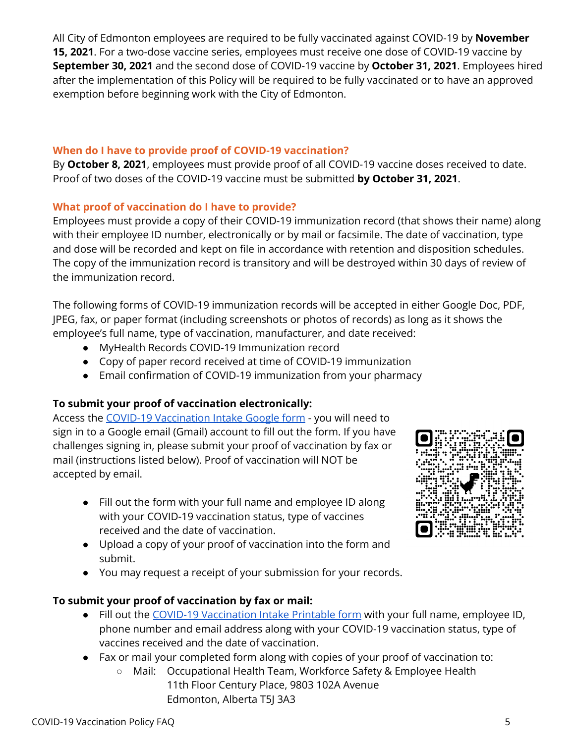All City of Edmonton employees are required to be fully vaccinated against COVID-19 by **November 15, 2021**. For a two-dose vaccine series, employees must receive one dose of COVID-19 vaccine by **September 30, 2021** and the second dose of COVID-19 vaccine by **October 31, 2021**. Employees hired after the implementation of this Policy will be required to be fully vaccinated or to have an approved exemption before beginning work with the City of Edmonton.

## **When do I have to provide proof of COVID-19 vaccination?**

By **October 8, 2021**, employees must provide proof of all COVID-19 vaccine doses received to date. Proof of two doses of the COVID-19 vaccine must be submitted **by October 31, 2021**.

# **What proof of vaccination do I have to provide?**

Employees must provide a copy of their COVID-19 immunization record (that shows their name) along with their employee ID number, electronically or by mail or facsimile. The date of vaccination, type and dose will be recorded and kept on file in accordance with retention and disposition schedules. The copy of the immunization record is transitory and will be destroyed within 30 days of review of the immunization record.

The following forms of COVID-19 immunization records will be accepted in either Google Doc, PDF, JPEG, fax, or paper format (including screenshots or photos of records) as long as it shows the employee's full name, type of vaccination, manufacturer, and date received:

- MyHealth Records COVID-19 Immunization record
- Copy of paper record received at time of COVID-19 immunization
- Email confirmation of COVID-19 immunization from your pharmacy

# **To submit your proof of vaccination electronically:**

Access the COVID-19 [Vaccination](https://docs.google.com/forms/d/e/1FAIpQLSdj5y5OzPKLDPac6ZC9unvwEY5dNwMb9kQsLrCJH6zyrDWfBQ/viewform) Intake Google form - you will need to sign in to a Google email (Gmail) account to fill out the form. If you have challenges signing in, please submit your proof of vaccination by fax or mail (instructions listed below). Proof of vaccination will NOT be accepted by email.

- Fill out the form with your full name and employee ID along with your COVID-19 vaccination status, type of vaccines received and the date of vaccination.
- Upload a copy of your proof of vaccination into the form and submit.
- You may request a receipt of your submission for your records.

# **To submit your proof of vaccination by fax or mail:**

- Fill out the COVID-19 [Vaccination](https://www.edmonton.ca/sites/default/files/public-files/assets/PDF/COVID-19_Vaccination_Intake_Form.pdf) Intake Printable form with your full name, employee ID, phone number and email address along with your COVID-19 vaccination status, type of vaccines received and the date of vaccination.
- Fax or mail your completed form along with copies of your proof of vaccination to:
	- Mail: Occupational Health Team, Workforce Safety & Employee Health 11th Floor Century Place, 9803 102A Avenue Edmonton, Alberta T5J 3A3

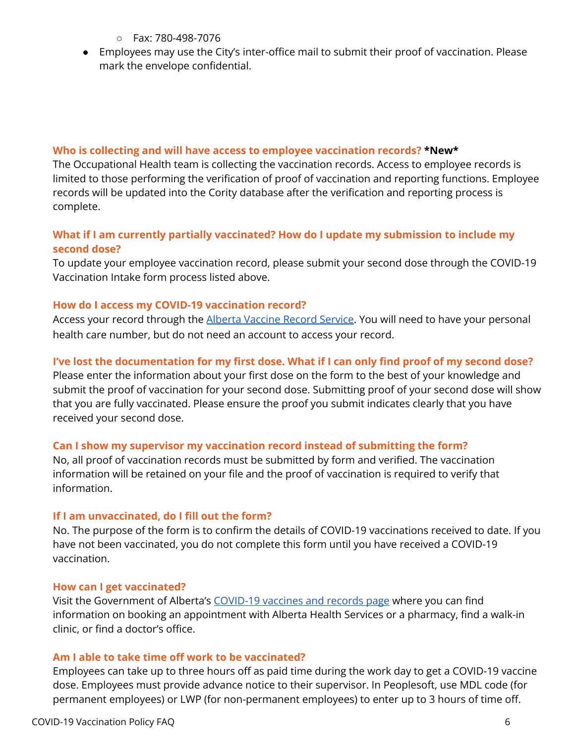- Fax: 780-498-7076
- Employees may use the City's inter-office mail to submit their proof of vaccination. Please mark the envelope confidential.

#### **Who is collecting and will have access to employee vaccination records? \*New\***

The Occupational Health team is collecting the vaccination records. Access to employee records is limited to those performing the verification of proof of vaccination and reporting functions. Employee records will be updated into the Cority database after the verification and reporting process is complete.

## **What if I am currently partially vaccinated? How do I update my submission to include my second dose?**

To update your employee vaccination record, please submit your second dose through the COVID-19 Vaccination Intake form process listed above.

## **How do I access my COVID-19 vaccination record?**

Access your record through the **Alberta [Vaccine](https://albertavaccinerecord.ca/#/) Record Service**. You will need to have your personal health care number, but do not need an account to access your record.

## I've lost the documentation for my first dose. What if I can only find proof of my second dose?

Please enter the information about your first dose on the form to the best of your knowledge and submit the proof of vaccination for your second dose. Submitting proof of your second dose will show that you are fully vaccinated. Please ensure the proof you submit indicates clearly that you have received your second dose.

### **Can I show my supervisor my vaccination record instead of submitting the form?**

No, all proof of vaccination records must be submitted by form and verified. The vaccination information will be retained on your file and the proof of vaccination is required to verify that information.

### **If I am unvaccinated, do I fill out the form?**

No. The purpose of the form is to confirm the details of COVID-19 vaccinations received to date. If you have not been vaccinated, you do not complete this form until you have received a COVID-19 vaccination.

### **How can I get vaccinated?**

Visit the Government of Alberta's [COVID-19](https://www.alberta.ca/covid19-vaccine.aspx#book) vaccines and records page where you can find information on booking an appointment with Alberta Health Services or a pharmacy, find a walk-in clinic, or find a doctor's office.

### **Am I able to take time off work to be vaccinated?**

Employees can take up to three hours off as paid time during the work day to get a COVID-19 vaccine dose. Employees must provide advance notice to their supervisor. In Peoplesoft, use MDL code (for permanent employees) or LWP (for non-permanent employees) to enter up to 3 hours of time off.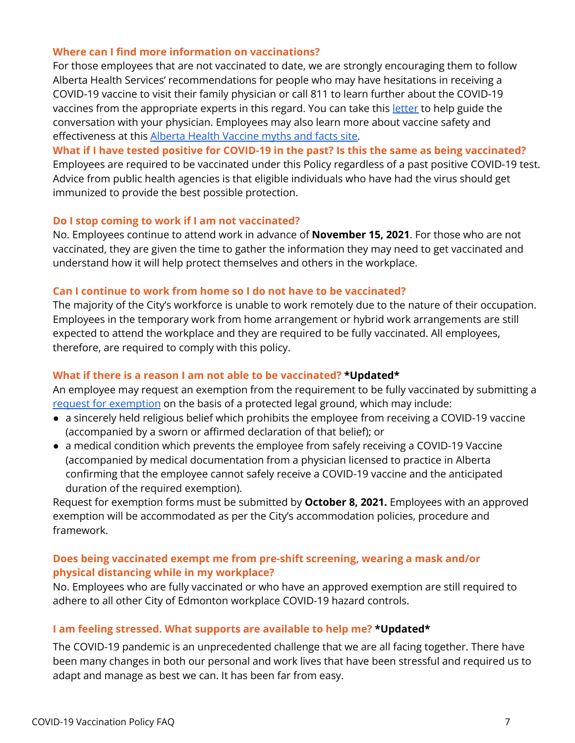### **Where can I find more information on vaccinations?**

For those employees that are not vaccinated to date, we are strongly encouraging them to follow Alberta Health Services' recommendations for people who may have hesitations in receiving a COVID-19 vaccine to visit their family physician or call 811 to learn further about the COVID-19 vaccines from the appropriate experts in this regard. You can take this [letter](https://www.edmonton.ca/sites/default/files/public-files/assets/PDF/Vaccination_Discussion_with_Physician.pdf) to help guide the conversation with your physician. Employees may also learn more about vaccine safety and effectiveness at this Alberta Health [Vaccine](https://www.alberta.ca/covid19-vaccine-myths-and-facts.aspx) myths and facts site.

**What if I have tested positive for COVID-19 in the past? Is this the same as being vaccinated?** Employees are required to be vaccinated under this Policy regardless of a past positive COVID-19 test. Advice from public health agencies is that eligible individuals who have had the virus should get immunized to provide the best possible protection.

#### **Do I stop coming to work if I am not vaccinated?**

No. Employees continue to attend work in advance of **November 15, 2021**. For those who are not vaccinated, they are given the time to gather the information they may need to get vaccinated and understand how it will help protect themselves and others in the workplace.

#### **Can I continue to work from home so I do not have to be vaccinated?**

The majority of the City's workforce is unable to work remotely due to the nature of their occupation. Employees in the temporary work from home arrangement or hybrid work arrangements are still expected to attend the workplace and they are required to be fully vaccinated. All employees, therefore, are required to comply with this policy.

#### **What if there is a reason I am not able to be vaccinated? \*Updated\***

An employee may request an exemption from the requirement to be fully vaccinated by submitting a request for [exemption](https://www.edmonton.ca/sites/default/files/public-files/assets/PDF/Request_for_Vaccination_Exemption_Application.pdf?cb=1632153166) on the basis of a protected legal ground, which may include:

- a sincerely held religious belief which prohibits the employee from receiving a COVID-19 vaccine (accompanied by a sworn or affirmed declaration of that belief); or
- a medical condition which prevents the employee from safely receiving a COVID-19 Vaccine (accompanied by medical documentation from a physician licensed to practice in Alberta confirming that the employee cannot safely receive a COVID-19 vaccine and the anticipated duration of the required exemption).

Request for exemption forms must be submitted by **October 8, 2021.** Employees with an approved exemption will be accommodated as per the City's accommodation policies, procedure and framework.

### **Does being vaccinated exempt me from pre-shift screening, wearing a mask and/or physical distancing while in my workplace?**

No. Employees who are fully vaccinated or who have an approved exemption are still required to adhere to all other City of Edmonton workplace COVID-19 hazard controls.

#### **I am feeling stressed. What supports are available to help me? \*Updated\***

The COVID-19 pandemic is an unprecedented challenge that we are all facing together. There have been many changes in both our personal and work lives that have been stressful and required us to adapt and manage as best we can. It has been far from easy.